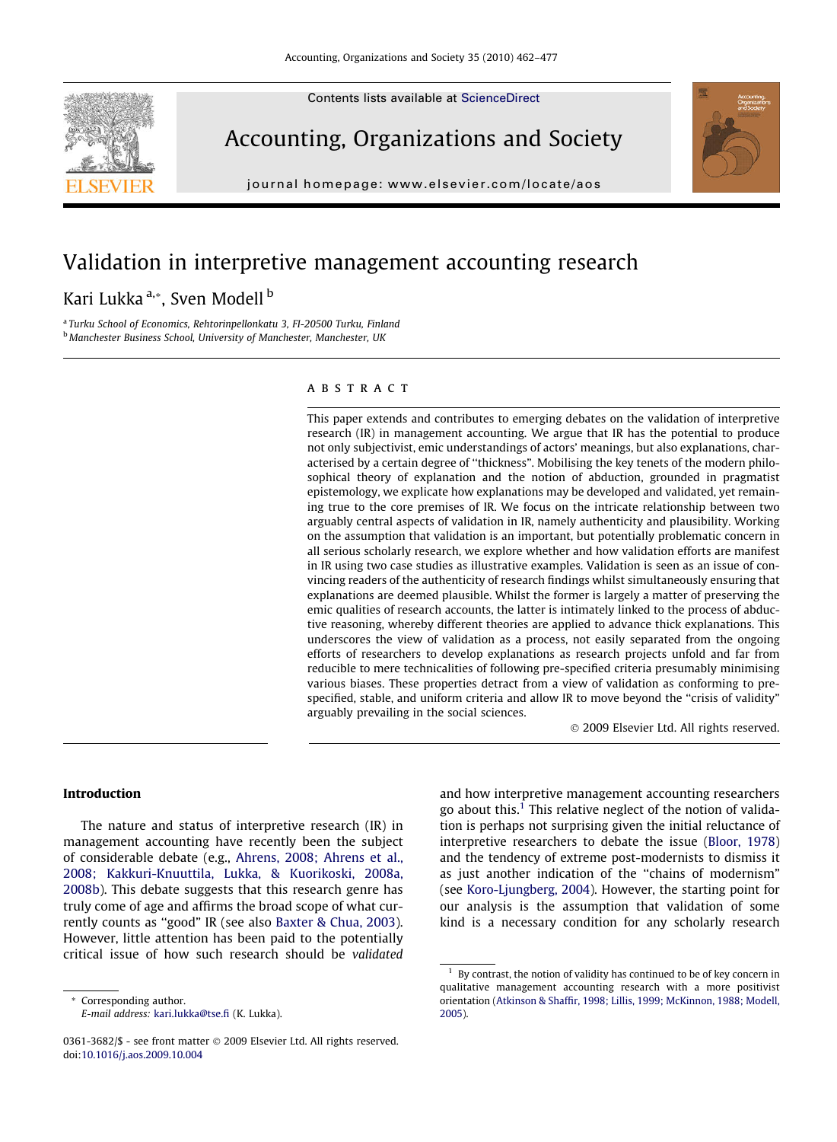Contents lists available at [ScienceDirect](http://www.sciencedirect.com/science/journal/03613682)





Accounting, Organizations and Society

journal homepage: [www.elsevier.com/locate/aos](http://www.elsevier.com/locate/aos)

# Validation in interpretive management accounting research

### Kari Lukka<sup>a,\*</sup>, Sven Modell<sup>b</sup>

<sup>a</sup> Turku School of Economics, Rehtorinpellonkatu 3, FI-20500 Turku, Finland **b Manchester Business School, University of Manchester, Manchester, UK** 

#### **ABSTRACT**

This paper extends and contributes to emerging debates on the validation of interpretive research (IR) in management accounting. We argue that IR has the potential to produce not only subjectivist, emic understandings of actors' meanings, but also explanations, characterised by a certain degree of ''thickness". Mobilising the key tenets of the modern philosophical theory of explanation and the notion of abduction, grounded in pragmatist epistemology, we explicate how explanations may be developed and validated, yet remaining true to the core premises of IR. We focus on the intricate relationship between two arguably central aspects of validation in IR, namely authenticity and plausibility. Working on the assumption that validation is an important, but potentially problematic concern in all serious scholarly research, we explore whether and how validation efforts are manifest in IR using two case studies as illustrative examples. Validation is seen as an issue of convincing readers of the authenticity of research findings whilst simultaneously ensuring that explanations are deemed plausible. Whilst the former is largely a matter of preserving the emic qualities of research accounts, the latter is intimately linked to the process of abductive reasoning, whereby different theories are applied to advance thick explanations. This underscores the view of validation as a process, not easily separated from the ongoing efforts of researchers to develop explanations as research projects unfold and far from reducible to mere technicalities of following pre-specified criteria presumably minimising various biases. These properties detract from a view of validation as conforming to prespecified, stable, and uniform criteria and allow IR to move beyond the "crisis of validity" arguably prevailing in the social sciences.

- 2009 Elsevier Ltd. All rights reserved.

#### Introduction

The nature and status of interpretive research (IR) in management accounting have recently been the subject of considerable debate (e.g., [Ahrens, 2008; Ahrens et al.,](#page--1-0) [2008; Kakkuri-Knuuttila, Lukka, & Kuorikoski, 2008a,](#page--1-0) [2008b\)](#page--1-0). This debate suggests that this research genre has truly come of age and affirms the broad scope of what currently counts as ''good" IR (see also [Baxter & Chua, 2003](#page--1-0)). However, little attention has been paid to the potentially critical issue of how such research should be validated

\* Corresponding author. E-mail address: [kari.lukka@tse.fi](mailto:kari.lukka@tse.fi) (K. Lukka).

and how interpretive management accounting researchers go about this.<sup>1</sup> This relative neglect of the notion of validation is perhaps not surprising given the initial reluctance of interpretive researchers to debate the issue ([Bloor, 1978\)](#page--1-0) and the tendency of extreme post-modernists to dismiss it as just another indication of the ''chains of modernism" (see [Koro-Ljungberg, 2004\)](#page--1-0). However, the starting point for our analysis is the assumption that validation of some kind is a necessary condition for any scholarly research

<sup>0361-3682/\$ -</sup> see front matter © 2009 Elsevier Ltd. All rights reserved. doi[:10.1016/j.aos.2009.10.004](http://dx.doi.org/10.1016/j.aos.2009.10.004)

 $1$  By contrast, the notion of validity has continued to be of key concern in qualitative management accounting research with a more positivist orientation ([Atkinson & Shaffir, 1998; Lillis, 1999; McKinnon, 1988; Modell,](#page--1-0) [2005\)](#page--1-0).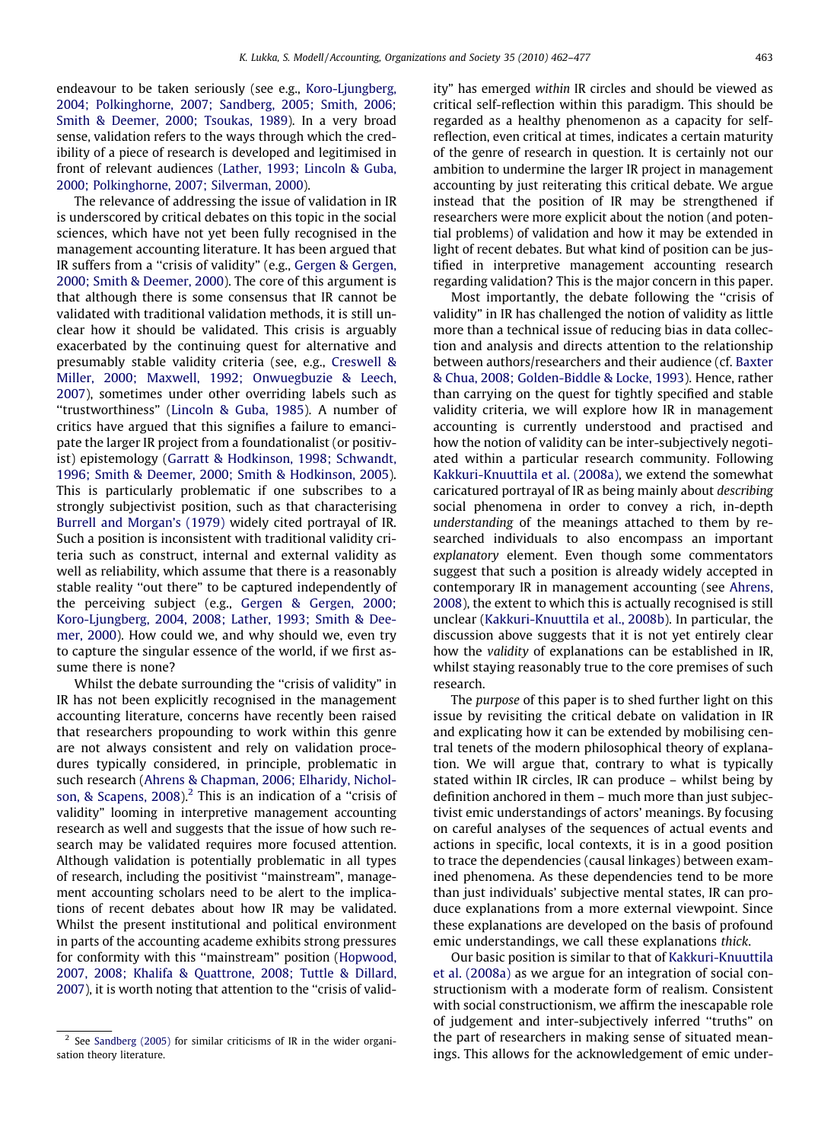endeavour to be taken seriously (see e.g., [Koro-Ljungberg,](#page--1-0) [2004; Polkinghorne, 2007; Sandberg, 2005; Smith, 2006;](#page--1-0) [Smith & Deemer, 2000; Tsoukas, 1989](#page--1-0)). In a very broad sense, validation refers to the ways through which the credibility of a piece of research is developed and legitimised in front of relevant audiences [\(Lather, 1993; Lincoln & Guba,](#page--1-0) [2000; Polkinghorne, 2007; Silverman, 2000](#page--1-0)).

The relevance of addressing the issue of validation in IR is underscored by critical debates on this topic in the social sciences, which have not yet been fully recognised in the management accounting literature. It has been argued that IR suffers from a ''crisis of validity" (e.g., [Gergen & Gergen,](#page--1-0) [2000; Smith & Deemer, 2000\)](#page--1-0). The core of this argument is that although there is some consensus that IR cannot be validated with traditional validation methods, it is still unclear how it should be validated. This crisis is arguably exacerbated by the continuing quest for alternative and presumably stable validity criteria (see, e.g., [Creswell &](#page--1-0) [Miller, 2000; Maxwell, 1992; Onwuegbuzie & Leech,](#page--1-0) [2007\)](#page--1-0), sometimes under other overriding labels such as ''trustworthiness" [\(Lincoln & Guba, 1985\)](#page--1-0). A number of critics have argued that this signifies a failure to emancipate the larger IR project from a foundationalist (or positivist) epistemology [\(Garratt & Hodkinson, 1998; Schwandt,](#page--1-0) [1996; Smith & Deemer, 2000; Smith & Hodkinson, 2005](#page--1-0)). This is particularly problematic if one subscribes to a strongly subjectivist position, such as that characterising [Burrell and Morgan's \(1979\)](#page--1-0) widely cited portrayal of IR. Such a position is inconsistent with traditional validity criteria such as construct, internal and external validity as well as reliability, which assume that there is a reasonably stable reality ''out there" to be captured independently of the perceiving subject (e.g., [Gergen & Gergen, 2000;](#page--1-0) [Koro-Ljungberg, 2004, 2008; Lather, 1993; Smith & Dee](#page--1-0)[mer, 2000\)](#page--1-0). How could we, and why should we, even try to capture the singular essence of the world, if we first assume there is none?

Whilst the debate surrounding the ''crisis of validity" in IR has not been explicitly recognised in the management accounting literature, concerns have recently been raised that researchers propounding to work within this genre are not always consistent and rely on validation procedures typically considered, in principle, problematic in such research ([Ahrens & Chapman, 2006; Elharidy, Nichol](#page--1-0)[son, & Scapens, 2008](#page--1-0)).<sup>2</sup> This is an indication of a "crisis of validity" looming in interpretive management accounting research as well and suggests that the issue of how such research may be validated requires more focused attention. Although validation is potentially problematic in all types of research, including the positivist "mainstream", management accounting scholars need to be alert to the implications of recent debates about how IR may be validated. Whilst the present institutional and political environment in parts of the accounting academe exhibits strong pressures for conformity with this ''mainstream" position ([Hopwood,](#page--1-0) [2007, 2008; Khalifa & Quattrone, 2008; Tuttle & Dillard,](#page--1-0) [2007](#page--1-0)), it is worth noting that attention to the ''crisis of validity" has emerged within IR circles and should be viewed as critical self-reflection within this paradigm. This should be regarded as a healthy phenomenon as a capacity for selfreflection, even critical at times, indicates a certain maturity of the genre of research in question. It is certainly not our ambition to undermine the larger IR project in management accounting by just reiterating this critical debate. We argue instead that the position of IR may be strengthened if researchers were more explicit about the notion (and potential problems) of validation and how it may be extended in light of recent debates. But what kind of position can be justified in interpretive management accounting research regarding validation? This is the major concern in this paper.

Most importantly, the debate following the ''crisis of validity" in IR has challenged the notion of validity as little more than a technical issue of reducing bias in data collection and analysis and directs attention to the relationship between authors/researchers and their audience (cf. [Baxter](#page--1-0) [& Chua, 2008; Golden-Biddle & Locke, 1993](#page--1-0)). Hence, rather than carrying on the quest for tightly specified and stable validity criteria, we will explore how IR in management accounting is currently understood and practised and how the notion of validity can be inter-subjectively negotiated within a particular research community. Following [Kakkuri-Knuuttila et al. \(2008a\),](#page--1-0) we extend the somewhat caricatured portrayal of IR as being mainly about describing social phenomena in order to convey a rich, in-depth understanding of the meanings attached to them by researched individuals to also encompass an important explanatory element. Even though some commentators suggest that such a position is already widely accepted in contemporary IR in management accounting (see [Ahrens,](#page--1-0) [2008\)](#page--1-0), the extent to which this is actually recognised is still unclear [\(Kakkuri-Knuuttila et al., 2008b](#page--1-0)). In particular, the discussion above suggests that it is not yet entirely clear how the validity of explanations can be established in IR, whilst staying reasonably true to the core premises of such research.

The purpose of this paper is to shed further light on this issue by revisiting the critical debate on validation in IR and explicating how it can be extended by mobilising central tenets of the modern philosophical theory of explanation. We will argue that, contrary to what is typically stated within IR circles, IR can produce – whilst being by definition anchored in them – much more than just subjectivist emic understandings of actors' meanings. By focusing on careful analyses of the sequences of actual events and actions in specific, local contexts, it is in a good position to trace the dependencies (causal linkages) between examined phenomena. As these dependencies tend to be more than just individuals' subjective mental states, IR can produce explanations from a more external viewpoint. Since these explanations are developed on the basis of profound emic understandings, we call these explanations thick.

Our basic position is similar to that of [Kakkuri-Knuuttila](#page--1-0) [et al. \(2008a\)](#page--1-0) as we argue for an integration of social constructionism with a moderate form of realism. Consistent with social constructionism, we affirm the inescapable role of judgement and inter-subjectively inferred ''truths" on the part of researchers in making sense of situated meanings. This allows for the acknowledgement of emic under-

 $2$  See [Sandberg \(2005\)](#page--1-0) for similar criticisms of IR in the wider organisation theory literature.